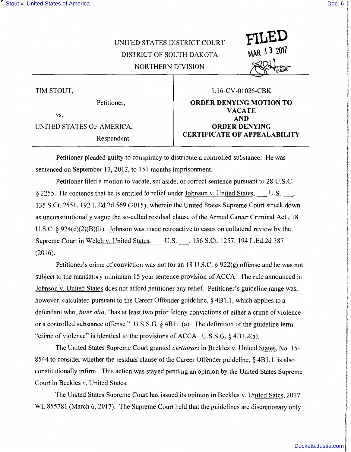' I

f

## UNITED STATES DISTRICT COURT DISTRICT OF SOUTH DAKOTA NORTHERN DIVISION

TIM STOUT,

vs.

**UNITED STATES OF AMERICA,** 

## **1** : 16-CV -01026-CBK

**FILED** 

**\ 3 ?.0\7** 

Petitioner, **ORDER DENYING MOTION TO VACATE AND<br>
ORDER DENYING** Respondent. **CERTIFICATE OF APPEALABILITY** 

Petitioner pleaded guilty to conspiracy to distribute a controlled substance. He was sentenced on September 17, 2012, to 151 months imprisonment.

Petitioner filed a motion to vacate, set aside, or correct sentence pursuant to 28 U.S.C. § 2255. He contends that he is entitled to relief under Johnson v. United States, U.S. \_\_\_, 135 S.Ct. 2551, 192 L.Ed.2d 569 (2015), wherein the United States Supreme Court struck down as unconstitutionally vague the so-called residual clause of the Armed Career Criminal Act , 18 U.S.C. § 924(e)(2)(B)(ii). Johnson was made retroactive to cases on collateral review by the Supreme Court in Welch v. United States, U.S. 136 S.Ct. 1257, 194 L.Ed.2d 387 (2016).

Petitioner's crime of conviction was not for an 18 U.S.C. § 922(g) offense and he was not subject to the mandatory minimum 15 year sentence provision of ACCA. The rule announced in Johnson v. United States does not afford petitioner any relief. Petitioner's guideline range was, however, calculated pursuant to the Career Offender guideline, § 4B1.1, which applies to a defendant who, *inter alia,* "has at least two prior felony convictions of either a crime of violence or a controlled substance offense." U.S.S.G. § 4B l. l(a). The definition of the guideline term "crime of violence" is identical to the provisions of ACCA U.S.S.G. § 4Bl.2(a).

The United States Supreme Court granted *certiorari* in Beckles v. United States, No. 15- 8544 to consider whether the residual clause of the Career Offender guideline, § 4B 1.1, is also constitutionally infirm. This action was stayed pending an opinion by the United States Supreme Court in Beckles v. United States.

The United States Supreme Court has issued its opinion in Beckles v. United Sates, 2017 WL 855781 (March 6, 2017). The Supreme Court held that the guidelines are discretionary only